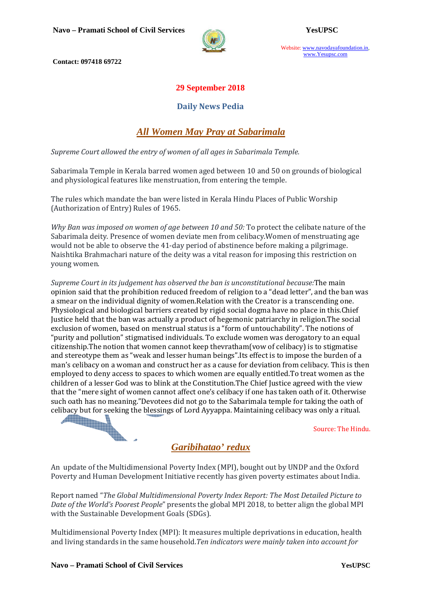

Website: www.navodayafoundation.in, www.Yesupsc.com

 **Contact: 097418 69722** 

### **29 September 2018**

#### **Daily News Pedia**

# *All Women May Pray at Sabarimala*

*Supreme Court allowed the entry of women of all ages in Sabarimala Temple.* 

Sabarimala Temple in Kerala barred women aged between 10 and 50 on grounds of biological and physiological features like menstruation, from entering the temple.

The rules which mandate the ban were listed in Kerala Hindu Places of Public Worship (Authorization of Entry) Rules of 1965.

*Why Ban was imposed on women of age between 10 and 50:* To protect the celibate nature of the Sabarimala deity. Presence of women deviate men from celibacy.Women of menstruating age would not be able to observe the 41-day period of abstinence before making a pilgrimage. Naishtika Brahmachari nature of the deity was a vital reason for imposing this restriction on young women.

*Supreme Court in its judgement has observed the ban is unconstitutional because:*The main opinion said that the prohibition reduced freedom of religion to a "dead letter", and the ban was a smear on the individual dignity of women.Relation with the Creator is a transcending one. Physiological and biological barriers created by rigid social dogma have no place in this.Chief Justice held that the ban was actually a product of hegemonic patriarchy in religion.The social exclusion of women, based on menstrual status is a "form of untouchability". The notions of "purity and pollution" stigmatised individuals. To exclude women was derogatory to an equal citizenship.The notion that women cannot keep thevratham(vow of celibacy) is to stigmatise and stereotype them as "weak and lesser human beings".Its effect is to impose the burden of a man's celibacy on a woman and construct her as a cause for deviation from celibacy. This is then employed to deny access to spaces to which women are equally entitled.To treat women as the children of a lesser God was to blink at the Constitution.The Chief Justice agreed with the view that the "mere sight of women cannot affect one's celibacy if one has taken oath of it. Otherwise such oath has no meaning."Devotees did not go to the Sabarimala temple for taking the oath of celibacy but for seeking the blessings of Lord Ayyappa. Maintaining celibacy was only a ritual.<br>Source: The Hind celibacy but for seeking the blessings of Lord Ayyappa. Maintaining celibacy was only a ritual.

Source: The Hindu.

## *Garibihatao' redux*

An update of the Multidimensional Poverty Index (MPI), bought out by UNDP and the Oxford Poverty and Human Development Initiative recently has given poverty estimates about India.

Report named "*The Global Multidimensional Poverty Index Report: The Most Detailed Picture to Date of the World's Poorest People*" presents the global MPI 2018, to better align the global MPI with the Sustainable Development Goals (SDGs).

Multidimensional Poverty Index (MPI): It measures multiple deprivations in education, health and living standards in the same household.*Ten indicators were mainly taken into account for*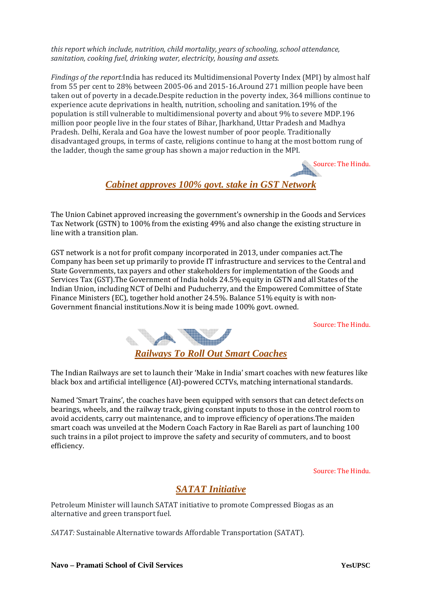*this report which include, nutrition, child mortality, years of schooling, school attendance, sanitation, cooking fuel, drinking water, electricity, housing and assets.* 

*Findings of the report:*India has reduced its Multidimensional Poverty Index (MPI) by almost half from 55 per cent to 28% between 2005-06 and 2015-16.Around 271 million people have been taken out of poverty in a decade.Despite reduction in the poverty index, 364 millions continue to experience acute deprivations in health, nutrition, schooling and sanitation.19% of the population is still vulnerable to multidimensional poverty and about 9% to severe MDP.196 million poor people live in the four states of Bihar, Jharkhand, Uttar Pradesh and Madhya Pradesh. Delhi, Kerala and Goa have the lowest number of poor people. Traditionally disadvantaged groups, in terms of caste, religions continue to hang at the most bottom rung of the ladder, though the same group has shown a major reduction in the MPI.

Source: The Hindu.

### *Cabinet approves 100% govt. stake in GST Network*

The Union Cabinet approved increasing the government's ownership in the Goods and Services Tax Network (GSTN) to 100% from the existing 49% and also change the existing structure in line with a transition plan.

GST network is a not for profit company incorporated in 2013, under companies act.The Company has been set up primarily to provide IT infrastructure and services to the Central and State Governments, tax payers and other stakeholders for implementation of the Goods and Services Tax (GST).The Government of India holds 24.5% equity in GSTN and all States of the Indian Union, including NCT of Delhi and Puducherry, and the Empowered Committee of State Finance Ministers (EC), together hold another 24.5%. Balance 51% equity is with non-Government financial institutions.Now it is being made 100% govt. owned.

Source: The Hindu.



The Indian Railways are set to launch their 'Make in India' smart coaches with new features like black box and artificial intelligence (AI)-powered CCTVs, matching international standards.

Named 'Smart Trains', the coaches have been equipped with sensors that can detect defects on bearings, wheels, and the railway track, giving constant inputs to those in the control room to avoid accidents, carry out maintenance, and to improve efficiency of operations.The maiden smart coach was unveiled at the Modern Coach Factory in Rae Bareli as part of launching 100 such trains in a pilot project to improve the safety and security of commuters, and to boost efficiency.

Source: The Hindu.

## *SATAT Initiative*

Petroleum Minister will launch SATAT initiative to promote Compressed Biogas as an alternative and green transport fuel.

*SATAT:* Sustainable Alternative towards Affordable Transportation (SATAT).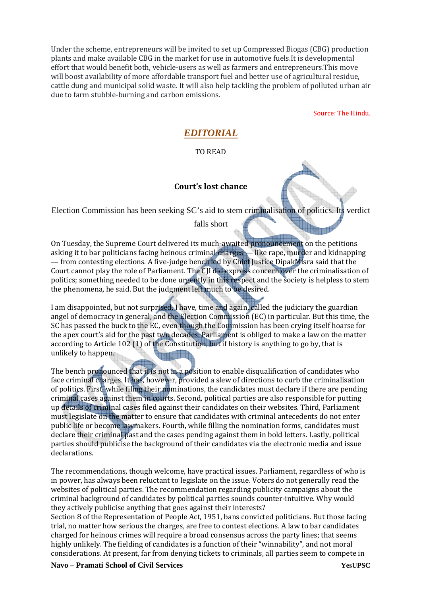Under the scheme, entrepreneurs will be invited to set up Compressed Biogas (CBG) production plants and make available CBG in the market for use in automotive fuels.It is developmental effort that would benefit both, vehicle-users as well as farmers and entrepreneurs.This move will boost availability of more affordable transport fuel and better use of agricultural residue, cattle dung and municipal solid waste. It will also help tackling the problem of polluted urban air due to farm stubble-burning and carbon emissions.

Source: The Hindu.

# *EDITORIAL*

#### TO READ

#### **Court's lost chance**

Election Commission has been seeking SC's aid to stem criminalisation of politics. Its verdict

falls short

On Tuesday, the Supreme Court delivered its much-awaited pronouncement on the petitions asking it to bar politicians facing heinous criminal charges — like rape, murder and kidnapping — from contesting elections. A five-judge bench led by Chief Justice DipakMisra said that the Court cannot play the role of Parliament. The CJI did express concern over the criminalisation of politics; something needed to be done urgently in this respect and the society is helpless to stem the phenomena, he said. But the judgment left much to be desired.

I am disappointed, but not surprised. I have, time and again, called the judiciary the guardian angel of democracy in general, and the Election Commission (EC) in particular. But this time, the SC has passed the buck to the EC, even though the Commission has been crying itself hoarse for the apex court's aid for the past two decades. Parliament is obliged to make a law on the matter according to Article 102 (1) of the Constitution, but if history is anything to go by, that is unlikely to happen.

The bench pronounced that it is not in a position to enable disqualification of candidates who face criminal charges. It has, however, provided a slew of directions to curb the criminalisation of politics. First, while filing their nominations, the candidates must declare if there are pending criminal cases against them in courts. Second, political parties are also responsible for putting up details of criminal cases filed against their candidates on their websites. Third, Parliament must legislate on the matter to ensure that candidates with criminal antecedents do not enter public life or become lawmakers. Fourth, while filling the nomination forms, candidates must declare their criminal past and the cases pending against them in bold letters. Lastly, political parties should publicise the background of their candidates via the electronic media and issue declarations.

The recommendations, though welcome, have practical issues. Parliament, regardless of who is in power, has always been reluctant to legislate on the issue. Voters do not generally read the websites of political parties. The recommendation regarding publicity campaigns about the criminal background of candidates by political parties sounds counter-intuitive. Why would they actively publicise anything that goes against their interests?

Section 8 of the Representation of People Act, 1951, bans convicted politicians. But those facing trial, no matter how serious the charges, are free to contest elections. A law to bar candidates charged for heinous crimes will require a broad consensus across the party lines; that seems highly unlikely. The fielding of candidates is a function of their "winnability", and not moral considerations. At present, far from denying tickets to criminals, all parties seem to compete in

**Navo – Pramati School of Civil Services YesUPSC**